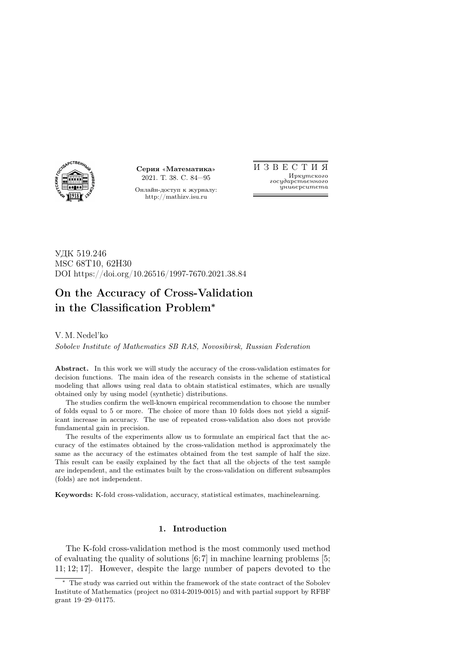

Серия «Математика» 2021. Т. 38. С. 84—95

Онлайн-доступ к журналу: http://mathizv.isu.ru

И З В Е С Т И Я Иркутского государственного университета

УДК 519.246 MSC 68T10, 62H30 DOI https://doi.org/10.26516/1997-7670.2021.38.84

# On the Accuracy of Cross-Validation in the Classification Problem<sup>∗</sup>

V. M. Nedel'ko

Sobolev Institute of Mathematics SB RAS, Novosibirsk, Russian Federation

Abstract. In this work we will study the accuracy of the cross-validation estimates for decision functions. The main idea of the research consists in the scheme of statistical modeling that allows using real data to obtain statistical estimates, which are usually obtained only by using model (synthetic) distributions.

The studies confirm the well-known empirical recommendation to choose the number of folds equal to 5 or more. The choice of more than 10 folds does not yield a significant increase in accuracy. The use of repeated cross-validation also does not provide fundamental gain in precision.

The results of the experiments allow us to formulate an empirical fact that the accuracy of the estimates obtained by the cross-validation method is approximately the same as the accuracy of the estimates obtained from the test sample of half the size. This result can be easily explained by the fact that all the objects of the test sample are independent, and the estimates built by the cross-validation on different subsamples (folds) are not independent.

Keywords: K-fold cross-validation, accuracy, statistical estimates, machinelearning.

### 1. Introduction

The K-fold cross-validation method is the most commonly used method of evaluating the quality of solutions  $[6,7]$  in machine learning problems [5; 11; 12; 17]. However, despite the large number of papers devoted to the

<sup>∗</sup> The study was carried out within the framework of the state contract of the Sobolev Institute of Mathematics (project no 0314-2019-0015) and with partial support by RFBF grant 19–29–01175.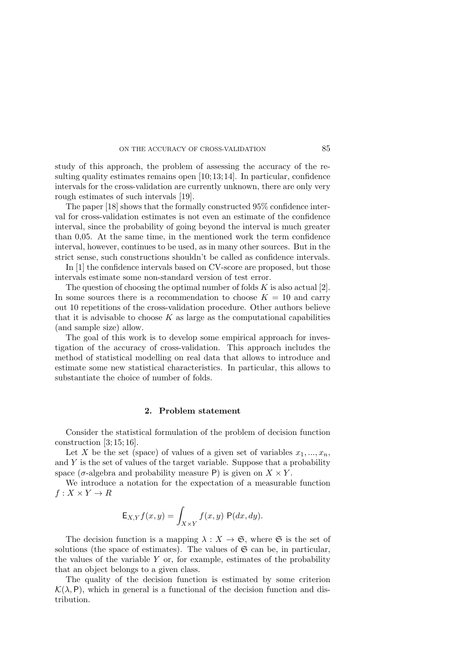study of this approach, the problem of assessing the accuracy of the resulting quality estimates remains open [10;13;14]. In particular, confidence intervals for the cross-validation are currently unknown, there are only very rough estimates of such intervals [19].

The paper [18] shows that the formally constructed 95% confidence interval for cross-validation estimates is not even an estimate of the confidence interval, since the probability of going beyond the interval is much greater than 0,05. At the same time, in the mentioned work the term confidence interval, however, continues to be used, as in many other sources. But in the strict sense, such constructions shouldn't be called as confidence intervals.

In [1] the confidence intervals based on CV-score are proposed, but those intervals estimate some non-standard version of test error.

The question of choosing the optimal number of folds  $K$  is also actual [2]. In some sources there is a recommendation to choose  $K = 10$  and carry out 10 repetitions of the cross-validation procedure. Other authors believe that it is advisable to choose  $K$  as large as the computational capabilities (and sample size) allow.

The goal of this work is to develop some empirical approach for investigation of the accuracy of cross-validation. This approach includes the method of statistical modelling on real data that allows to introduce and estimate some new statistical characteristics. In particular, this allows to substantiate the choice of number of folds.

## 2. Problem statement

Consider the statistical formulation of the problem of decision function construction  $[3; 15; 16]$ .

Let X be the set (space) of values of a given set of variables  $x_1, ..., x_n$ , and  $Y$  is the set of values of the target variable. Suppose that a probability space ( $\sigma$ -algebra and probability measure P) is given on  $X \times Y$ .

We introduce a notation for the expectation of a measurable function  $f: X \times Y \to R$ 

$$
\mathsf{E}_{X,Y} f(x,y) = \int_{X \times Y} f(x,y) \mathsf{P}(dx, dy).
$$

The decision function is a mapping  $\lambda : X \to \mathfrak{S}$ , where  $\mathfrak{S}$  is the set of solutions (the space of estimates). The values of  $\mathfrak{S}$  can be, in particular, the values of the variable  $Y$  or, for example, estimates of the probability that an object belongs to a given class.

The quality of the decision function is estimated by some criterion  $\mathcal{K}(\lambda, P)$ , which in general is a functional of the decision function and distribution.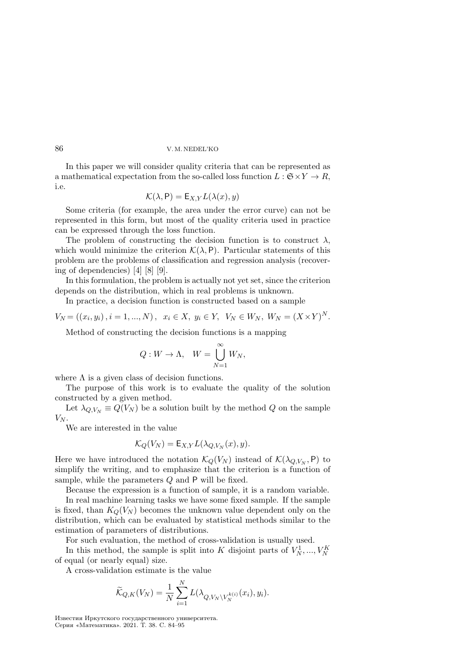In this paper we will consider quality criteria that can be represented as a mathematical expectation from the so-called loss function  $L : \mathfrak{S} \times Y \to R$ , i.e.

$$
\mathcal{K}(\lambda, \mathsf{P}) = \mathsf{E}_{X,Y} L(\lambda(x), y)
$$

Some criteria (for example, the area under the error curve) can not be represented in this form, but most of the quality criteria used in practice can be expressed through the loss function.

The problem of constructing the decision function is to construct  $\lambda$ , which would minimize the criterion  $\mathcal{K}(\lambda, P)$ . Particular statements of this problem are the problems of classification and regression analysis (recovering of dependencies) [4] [8] [9].

In this formulation, the problem is actually not yet set, since the criterion depends on the distribution, which in real problems is unknown.

In practice, a decision function is constructed based on a sample

$$
V_N = ((x_i, y_i), i = 1, ..., N), \ x_i \in X, \ y_i \in Y, \ V_N \in W_N, \ W_N = (X \times Y)^N.
$$

Method of constructing the decision functions is a mapping

$$
Q: W \to \Lambda, \quad W = \bigcup_{N=1}^{\infty} W_N,
$$

where  $\Lambda$  is a given class of decision functions.

The purpose of this work is to evaluate the quality of the solution constructed by a given method.

Let  $\lambda_{Q,V_N} \equiv Q(V_N)$  be a solution built by the method Q on the sample  $V_N$ .

We are interested in the value

$$
\mathcal{K}_Q(V_N) = \mathsf{E}_{X,Y} L(\lambda_{Q,V_N}(x), y).
$$

Here we have introduced the notation  $\mathcal{K}_Q(V_N)$  instead of  $\mathcal{K}(\lambda_{Q,V_N}, P)$  to simplify the writing, and to emphasize that the criterion is a function of sample, while the parameters  $Q$  and  $P$  will be fixed.

Because the expression is a function of sample, it is a random variable.

In real machine learning tasks we have some fixed sample. If the sample is fixed, than  $K_Q(V_N)$  becomes the unknown value dependent only on the distribution, which can be evaluated by statistical methods similar to the estimation of parameters of distributions.

For such evaluation, the method of cross-validation is usually used.

In this method, the sample is split into K disjoint parts of  $V_N^1, ..., V_N^K$ of equal (or nearly equal) size.

A cross-validation estimate is the value

$$
\widetilde{\mathcal{K}}_{Q,K}(V_N) = \frac{1}{N} \sum_{i=1}^N L(\lambda_{Q,V_N \setminus V_N^{k(i)}}(x_i), y_i).
$$

Известия Иркутского государственного университета. Серия «Математика». 2021. Т. 38. С. 84–95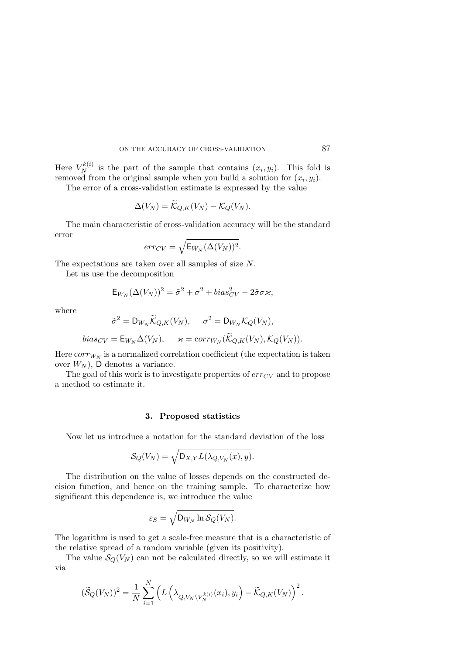Here  $V_N^{k(i)}$  $\chi_N^{(i)}$  is the part of the sample that contains  $(x_i, y_i)$ . This fold is removed from the original sample when you build a solution for  $(x_i, y_i)$ .

The error of a cross-validation estimate is expressed by the value

$$
\Delta(V_N)=\widetilde{\mathcal{K}}_{Q,K}(V_N)-\mathcal{K}_Q(V_N).
$$

The main characteristic of cross-validation accuracy will be the standard error

$$
err_{CV} = \sqrt{\mathsf{E}_{W_N}(\Delta(V_N))^2}.
$$

The expectations are taken over all samples of size  $N$ .

Let us use the decomposition

$$
\mathsf{E}_{W_N}(\Delta(V_N))^2 = \tilde{\sigma}^2 + \sigma^2 + bias_{CV}^2 - 2\tilde{\sigma}\sigma\kappa,
$$

where

$$
\tilde{\sigma}^2 = D_{W_N} \widetilde{\mathcal{K}}_{Q,K}(V_N), \quad \sigma^2 = D_{W_N} \mathcal{K}_Q(V_N),
$$

$$
bias_{CV} = \mathsf{E}_{W_N} \Delta(V_N), \quad \varkappa = corr_{W_N}(\widetilde{\mathcal{K}}_{Q,K}(V_N), \mathcal{K}_Q(V_N)).
$$

Here  $corr_{W_N}$  is a normalized correlation coefficient (the expectation is taken over  $W_N$ ), D denotes a variance.

The goal of this work is to investigate properties of  $err_{CV}$  and to propose a method to estimate it.

# 3. Proposed statistics

Now let us introduce a notation for the standard deviation of the loss

$$
\mathcal{S}_Q(V_N) = \sqrt{\mathsf{D}_{X,Y} L(\lambda_{Q,V_N}(x), y)}.
$$

The distribution on the value of losses depends on the constructed decision function, and hence on the training sample. To characterize how significant this dependence is, we introduce the value

$$
\varepsilon_S = \sqrt{\mathsf{D}_{W_N} \ln \mathcal{S}_Q(V_N)}.
$$

The logarithm is used to get a scale-free measure that is a characteristic of the relative spread of a random variable (given its positivity).

The value  $\mathcal{S}_Q(V_N)$  can not be calculated directly, so we will estimate it via

$$
(\widetilde{\mathcal{S}}_{Q}(V_N))^2 = \frac{1}{N} \sum_{i=1}^N \left( L\left(\lambda_{Q, V_N \setminus V_N^{k(i)}}(x_i), y_i\right) - \widetilde{\mathcal{K}}_{Q, K}(V_N) \right)^2.
$$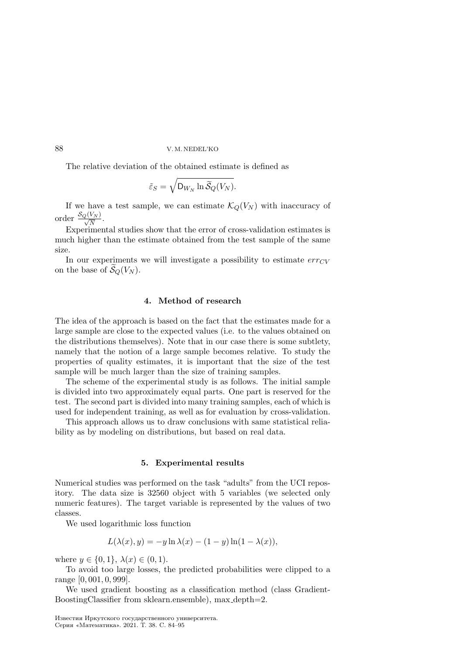The relative deviation of the obtained estimate is defined as

$$
\tilde{\varepsilon}_S = \sqrt{\mathsf{D}_{W_N} \ln \widetilde{\mathcal{S}}_Q(V_N)}.
$$

If we have a test sample, we can estimate  $\mathcal{K}_Q(V_N)$  with inaccuracy of order  $\frac{\mathcal{S}_Q(V_N)}{\sqrt{N}}$ .

Experimental studies show that the error of cross-validation estimates is much higher than the estimate obtained from the test sample of the same size.

In our experiments we will investigate a possibility to estimate  $err_{CV}$ on the base of  $\mathcal{S}_Q(V_N)$ .

## 4. Method of research

The idea of the approach is based on the fact that the estimates made for a large sample are close to the expected values (i.e. to the values obtained on the distributions themselves). Note that in our case there is some subtlety, namely that the notion of a large sample becomes relative. To study the properties of quality estimates, it is important that the size of the test sample will be much larger than the size of training samples.

The scheme of the experimental study is as follows. The initial sample is divided into two approximately equal parts. One part is reserved for the test. The second part is divided into many training samples, each of which is used for independent training, as well as for evaluation by cross-validation.

This approach allows us to draw conclusions with same statistical reliability as by modeling on distributions, but based on real data.

#### 5. Experimental results

Numerical studies was performed on the task "adults" from the UCI repository. The data size is 32560 object with 5 variables (we selected only numeric features). The target variable is represented by the values of two classes.

We used logarithmic loss function

$$
L(\lambda(x), y) = -y \ln \lambda(x) - (1 - y) \ln(1 - \lambda(x)),
$$

where  $y \in \{0, 1\}, \lambda(x) \in (0, 1)$ .

To avoid too large losses, the predicted probabilities were clipped to a range [0, 001, 0, 999].

We used gradient boosting as a classification method (class Gradient-BoostingClassifier from sklearn.ensemble), max depth=2.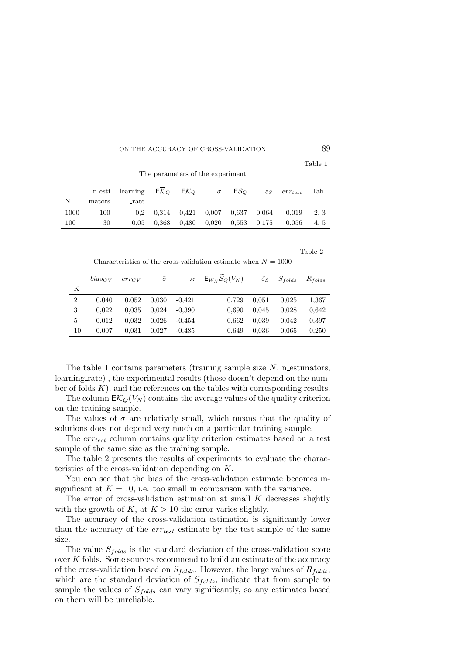Table 1

|      |        | n esti learning $E\mathcal{K}_Q$ $E\mathcal{K}_Q$ |  | $\sigma$ ES $\alpha$ | $\varepsilon_S$ err <sub>test</sub>                         | Tab. |
|------|--------|---------------------------------------------------|--|----------------------|-------------------------------------------------------------|------|
| N    | mators | <sub>-rate</sub>                                  |  |                      |                                                             |      |
| 1000 | 100    |                                                   |  |                      | $0,2$ $0,314$ $0,421$ $0,007$ $0,637$ $0,064$ $0,019$       | 2.3  |
| 100  | 30     |                                                   |  |                      | $0,05$ $0,368$ $0,480$ $0,020$ $0,553$ $0,175$ $0,056$ 4, 5 |      |

The parameters of the experiment

Table 2

Characteristics of the cross-validation estimate when  $N = 1000$ 

|                | $bias_{CV}$ | error | $\tilde{\sigma}$ | $\boldsymbol{\varkappa}$ | $E_{W_N} S_Q(V_N)$ | $\tilde{\varepsilon}_S$ | $S_{folds}$ | $R_{folds}$ |
|----------------|-------------|-------|------------------|--------------------------|--------------------|-------------------------|-------------|-------------|
| Κ              |             |       |                  |                          |                    |                         |             |             |
| $\overline{2}$ | 0.040       | 0.052 | 0.030            | $-0.421$                 | 0.729              | 0.051                   | 0.025       | 1,367       |
| 3              | 0.022       | 0.035 | 0.024            | $-0.390$                 | 0.690              | 0.045                   | 0.028       | 0.642       |
| 5              | 0.012       | 0.032 | 0.026            | $-0.454$                 | 0.662              | 0.039                   | 0.042       | 0.397       |
| 10             | 0.007       | 0.031 | 0.027            | $-0.485$                 | 0.649              | 0.036                   | 0.065       | 0,250       |

The table 1 contains parameters (training sample size  $N$ , n estimators, learning rate) , the experimental results (those doesn't depend on the number of folds  $K$ ), and the references on the tables with corresponding results.

The column  $E(\mathcal{K}_Q(V_N))$  contains the average values of the quality criterion on the training sample.

The values of  $\sigma$  are relatively small, which means that the quality of solutions does not depend very much on a particular training sample.

The  $err_{test}$  column contains quality criterion estimates based on a test sample of the same size as the training sample.

The table 2 presents the results of experiments to evaluate the characteristics of the cross-validation depending on  $K$ .

You can see that the bias of the cross-validation estimate becomes insignificant at  $K = 10$ , i.e. too small in comparison with the variance.

The error of cross-validation estimation at small  $K$  decreases slightly with the growth of K, at  $K > 10$  the error varies slightly.

The accuracy of the cross-validation estimation is significantly lower than the accuracy of the  $err_{test}$  estimate by the test sample of the same size.

The value  $S_{folds}$  is the standard deviation of the cross-validation score over  $K$  folds. Some sources recommend to build an estimate of the accuracy of the cross-validation based on  $S_{folds}$ . However, the large values of  $R_{folds}$ , which are the standard deviation of  $S_{folds}$ , indicate that from sample to sample the values of  $S_{folds}$  can vary significantly, so any estimates based on them will be unreliable.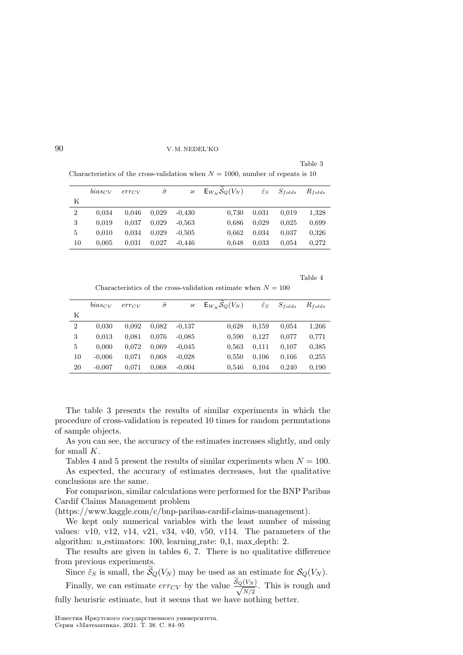Table 3

Characteristics of the cross-validation when  $N = 1000$ , number of repeats is 10

|                | $bias_{CV}$ | error | $\tilde{\sigma}$ | $\boldsymbol{\varkappa}$ | $E_{W_N} S_Q(V_N)$ | $\tilde{\varepsilon}_S$ | $S_{folds}$ | $R_{folds}$ |
|----------------|-------------|-------|------------------|--------------------------|--------------------|-------------------------|-------------|-------------|
| Κ              |             |       |                  |                          |                    |                         |             |             |
| $\overline{2}$ | 0.034       | 0.046 | 0.029            | $-0.430$                 | 0.730              | 0.031                   | 0.019       | 1,328       |
| 3              | 0.019       | 0.037 | 0.029            | $-0.563$                 | 0.686              | 0.029                   | 0.025       | 0.699       |
| 5              | 0.010       | 0.034 | 0.029            | $-0.505$                 | 0.662              | 0.034                   | 0.037       | 0.326       |
| 10             | 0.005       | 0.031 | 0.027            | $-0.446$                 | 0.648              | 0.033                   | 0.054       | 0.272       |

Table 4

Characteristics of the cross-validation estimate when  $N = 100$ 

|                | $bias_{CV}$ | $err_{CV}$ | $\tilde{\sigma}$ | κ        | $E_{W_N} S_Q(V_N)$ | $\tilde{\varepsilon}_S$ | $S_{folds}$ | $R_{folds}$ |
|----------------|-------------|------------|------------------|----------|--------------------|-------------------------|-------------|-------------|
| Κ              |             |            |                  |          |                    |                         |             |             |
| $\overline{2}$ | 0.030       | 0.092      | 0.082            | $-0.137$ | 0,628              | 0.159                   | 0.054       | 1,266       |
| 3              | 0.013       | 0.081      | 0.076            | $-0.085$ | 0,590              | 0.127                   | 0.077       | 0,771       |
| 5              | 0,000       | 0.072      | 0,069            | $-0.045$ | 0.563              | 0.111                   | 0.107       | 0.385       |
| 10             | $-0.006$    | 0.071      | 0.068            | $-0.028$ | 0,550              | 0.106                   | 0.166       | 0.255       |
| 20             | $-0.007$    | 0.071      | 0.068            | $-0.004$ | 0,546              | 0.104                   | 0.240       | 0,190       |

The table 3 presents the results of similar experiments in which the procedure of cross-validation is repeated 10 times for random permutations of sample objects.

As you can see, the accuracy of the estimates increases slightly, and only for small  $K$ .

Tables 4 and 5 present the results of similar experiments when  $N = 100$ .

As expected, the accuracy of estimates decreases, but the qualitative conclusions are the same.

For comparison, similar calculations were performed for the BNP Paribas Cardif Claims Management problem

(https://www.kaggle.com/c/bnp-paribas-cardif-claims-management).

We kept only numerical variables with the least number of missing values: v10, v12, v14, v21, v34, v40, v50, v114. The parameters of the algorithm: n estimators: 100, learning rate: 0,1, max depth: 2.

The results are given in tables 6, 7. There is no qualitative difference from previous experiments.

Since  $\tilde{\varepsilon}_S$  is small, the  $\widetilde{\mathcal{S}}_Q(V_N)$  may be used as an estimate for  $\mathcal{S}_Q(V_N)$ .

Finally, we can estimate  $err_{CV}$  by the value  $\frac{S_Q(V_N)}{\sqrt{N/2}}$ . This is rough and fully heurisric estimate, but it seems that we have nothing better.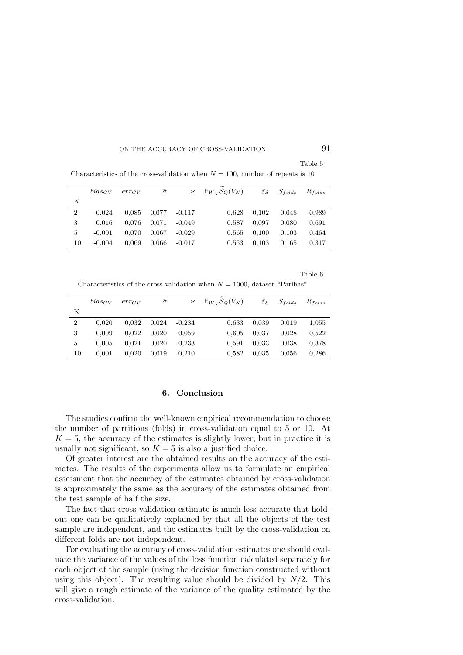Table 5

| $S_{folds}$<br>$R_{folds}$ |
|----------------------------|
|                            |
| 0.989<br>0.048             |
| 0.691<br>0.080             |
| 0.464<br>0.103             |
| 0.317<br>0.165             |
|                            |

Characteristics of the cross-validation when  $N = 100$ , number of repeats is 10

Table 6

Characteristics of the cross-validation when  $N = 1000$ , dataset "Paribas"

|                | $bias_{CV}$ | $err_{CV}$ | $\tilde{\sigma}$ | κ        | $\mathsf{E}_{W_N} \mathcal{S}_Q(V_N)$ | $\tilde{\varepsilon}_S$ | $S_{folds}$ | $R_{folds}$ |
|----------------|-------------|------------|------------------|----------|---------------------------------------|-------------------------|-------------|-------------|
| Κ              |             |            |                  |          |                                       |                         |             |             |
| $\overline{2}$ | 0.020       | 0.032      | 0.024            | $-0.234$ | 0.633                                 | 0.039                   | 0.019       | 1,055       |
| 3              | 0.009       | 0.022      | 0.020            | $-0.059$ | 0.605                                 | 0.037                   | 0.028       | 0,522       |
| 5              | 0.005       | 0.021      | 0.020            | $-0.233$ | 0,591                                 | 0.033                   | 0.038       | 0.378       |
| 10             | 0,001       | 0.020      | 0.019            | $-0.210$ | 0,582                                 | 0.035                   | 0.056       | 0.286       |

# 6. Conclusion

The studies confirm the well-known empirical recommendation to choose the number of partitions (folds) in cross-validation equal to 5 or 10. At  $K = 5$ , the accuracy of the estimates is slightly lower, but in practice it is usually not significant, so  $K = 5$  is also a justified choice.

Of greater interest are the obtained results on the accuracy of the estimates. The results of the experiments allow us to formulate an empirical assessment that the accuracy of the estimates obtained by cross-validation is approximately the same as the accuracy of the estimates obtained from the test sample of half the size.

The fact that cross-validation estimate is much less accurate that holdout one can be qualitatively explained by that all the objects of the test sample are independent, and the estimates built by the cross-validation on different folds are not independent.

For evaluating the accuracy of cross-validation estimates one should evaluate the variance of the values of the loss function calculated separately for each object of the sample (using the decision function constructed without using this object). The resulting value should be divided by  $N/2$ . This will give a rough estimate of the variance of the quality estimated by the cross-validation.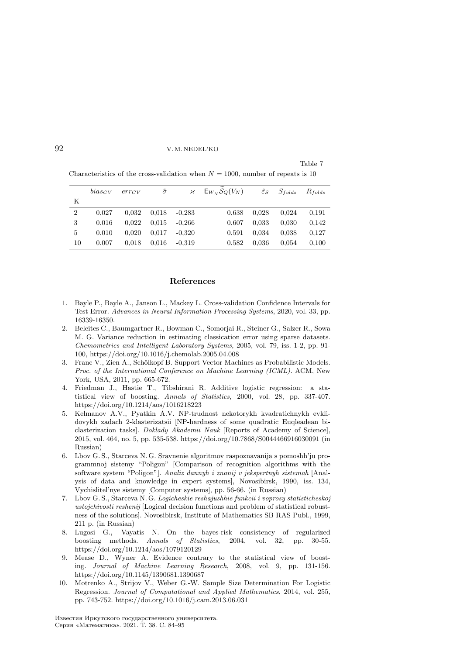#### Table 7

|                | $bias_{CV}$ | error | $\tilde{\sigma}$ |          | $\mathcal{H}$ $E_{W_N} S_Q(V_N)$ | $\tilde{\varepsilon}_S$ | $S_{folds}$ | $R_{folds}$ |
|----------------|-------------|-------|------------------|----------|----------------------------------|-------------------------|-------------|-------------|
| Κ              |             |       |                  |          |                                  |                         |             |             |
| $\overline{2}$ | 0.027       | 0.032 | 0.018            | $-0.283$ | 0.638                            | 0.028                   | 0.024       | 0.191       |
| 3              | 0.016       | 0.022 | 0.015            | $-0.266$ | 0.607                            | 0.033                   | 0.030       | 0,142       |
| 5              | 0.010       | 0.020 | 0.017            | $-0.320$ | 0.591                            | 0.034                   | 0.038       | 0,127       |
| 10             | 0,007       | 0.018 | 0.016            | $-0.319$ | 0.582                            | 0.036                   | 0.054       | 0.100       |

Characteristics of the cross-validation when  $N = 1000$ , number of repeats is 10

#### References

- 1. Bayle P., Bayle A., Janson L., Mackey L. Cross-validation Confidence Intervals for Test Error. Advances in Neural Information Processing Systems, 2020, vol. 33, pp. 16339-16350.
- 2. Beleites C., Baumgartner R., Bowman C., Somorjai R., Steiner G., Salzer R., Sowa M. G. Variance reduction in estimating classication error using sparse datasets. Chemometrics and Intelligent Laboratory Systems, 2005, vol. 79, iss. 1-2, pp. 91- 100, https://doi.org/10.1016/j.chemolab.2005.04.008
- 3. Franc V., Zien A., Schölkopf B. Support Vector Machines as Probabilistic Models. Proc. of the International Conference on Machine Learning (ICML). ACM, New York, USA, 2011, pp. 665-672.
- 4. Friedman J., Hastie T., Tibshirani R. Additive logistic regression: a statistical view of boosting. Annals of Statistics, 2000, vol. 28, pp. 337-407. https://doi.org/10.1214/aos/1016218223
- 5. Kelmanov A.V., Pyatkin A.V. NP-trudnost nekotorykh kvadratichnykh evklidovykh zadach 2-klasterizatsii [NP-hardness of some quadratic Euqleadean biclasterization tasks]. Doklady Akademii Nauk [Reports of Academy of Science], 2015, vol. 464, no. 5, pp. 535-538. https://doi.org/10.7868/S0044466916030091 (in Russian)
- 6. Lbov G. S., Starceva N. G. Sravnenie algoritmov raspoznavanija s pomoshh'ju programmnoj sistemy "Poligon" [Comparison of recognition algorithms with the software system "Poligon"]. Analiz dannyh i znanij v jekspertnyh sistemah [Analysis of data and knowledge in expert systems], Novosibirsk, 1990, iss. 134, Vychislitel'nye sistemy [Computer systems], pp. 56-66. (in Russian)
- 7. Lbov G. S., Starceva N. G. Logicheskie reshajushhie funkcii i voprosy statisticheskoj ustojchivosti reshenij [Logical decision functions and problem of statistical robustness of the solutions]. Novosibirsk, Institute of Mathematics SB RAS Publ., 1999, 211 p. (in Russian)
- 8. Lugosi G., Vayatis N. On the bayes-risk consistency of regularized boosting methods. Annals of Statistics, 2004, vol. 32, pp. 30-55. https://doi.org/10.1214/aos/1079120129
- 9. Mease D., Wyner A. Evidence contrary to the statistical view of boosting. Journal of Machine Learning Research, 2008, vol. 9, pp. 131-156. https://doi.org/10.1145/1390681.1390687
- 10. Motrenko A., Strijov V., Weber G.-W. Sample Size Determination For Logistic Regression. Journal of Computational and Applied Mathematics, 2014, vol. 255, pp. 743-752. https://doi.org/10.1016/j.cam.2013.06.031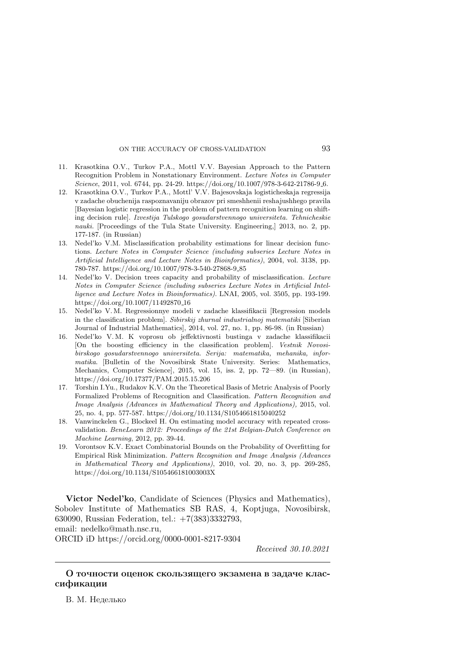- 11. Krasotkina O.V., Turkov P.A., Mottl V.V. Bayesian Approach to the Pattern Recognition Problem in Nonstationary Environment. Lecture Notes in Computer Science, 2011, vol. 6744, pp. 24-29. https://doi.org/10.1007/978-3-642-21786-9 6.
- 12. Krasotkina O.V., Turkov P.A., Mottl' V.V. Bajesovskaja logisticheskaja regressija v zadache obuchenija raspoznavaniju obrazov pri smeshhenii reshajushhego pravila [Bayesian logistic regression in the problem of pattern recognition learning on shifting decision rule]. Izvestija Tulskogo gosudarstvennogo universiteta. Tehnicheskie nauki. [Proceedings of the Tula State University. Engineering,] 2013, no. 2, pp. 177-187. (in Russian)
- 13. Nedel'ko V.M. Misclassification probability estimations for linear decision functions. Lecture Notes in Computer Science (including subseries Lecture Notes in Artificial Intelligence and Lecture Notes in Bioinformatics), 2004, vol. 3138, pp. 780-787. https://doi.org/10.1007/978-3-540-27868-9 85
- 14. Nedel'ko V. Decision trees capacity and probability of misclassification. Lecture Notes in Computer Science (including subseries Lecture Notes in Artificial Intelligence and Lecture Notes in Bioinformatics). LNAI, 2005, vol. 3505, pp. 193-199. https://doi.org/10.1007/11492870 16
- 15. Nedel'ko V. M. Regressionnye modeli v zadache klassifikacii [Regression models in the classification problem]. Sibirskij zhurnal industrialnoj matematiki [Siberian Journal of Industrial Mathematics], 2014, vol. 27, no. 1, pp. 86-98. (in Russian)
- 16. Nedel'ko V. M. K voprosu ob jeffektivnosti bustinga v zadache klassifikacii [On the boosting efficiency in the classification problem]. Vestnik Novosibirskogo gosudarstvennogo universiteta. Serija: matematika, mehanika, informatika. [Bulletin of the Novosibirsk State University. Series: Mathematics, Mechanics, Computer Science], 2015, vol. 15, iss. 2, pp. 72—89. (in Russian), https://doi.org/10.17377/PAM.2015.15.206
- 17. Torshin I.Yu., Rudakov K.V. On the Theoretical Basis of Metric Analysis of Poorly Formalized Problems of Recognition and Classification. Pattern Recognition and Image Analysis (Advances in Mathematical Theory and Applications), 2015, vol. 25, no. 4, pp. 577-587. https://doi.org/10.1134/S1054661815040252
- 18. Vanwinckelen G., Blockeel H. On estimating model accuracy with repeated crossvalidation. BeneLearn 2012: Proceedings of the 21st Belgian-Dutch Conference on Machine Learning, 2012, pp. 39-44.
- 19. Vorontsov K.V. Exact Combinatorial Bounds on the Probability of Overfitting for Empirical Risk Minimization. Pattern Recognition and Image Analysis (Advances in Mathematical Theory and Applications), 2010, vol. 20, no. 3, pp. 269-285, https://doi.org/10.1134/S105466181003003X

Victor Nedel'ko, Candidate of Sciences (Physics and Mathematics), Sobolev Institute of Mathematics SB RAS, 4, Koptjuga, Novosibirsk, 630090, Russian Federation, tel.: +7(383)3332793, email: nedelko@math.nsc.ru,

ORCID iD https://orcid.org/0000-0001-8217-9304

Received 30.10.2021

# О точности оценок скользящего экзамена в задаче классификации

В. М. Неделько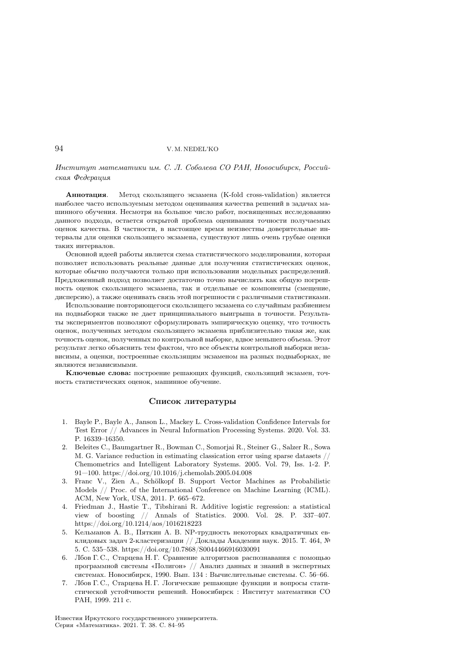### 94 V. M. NEDEL'KO

Институт математики им. С. Л. Соболева СО РАН, Новосибирск, Российская Федерация

Аннотация. Метод скользящего экзамена (K-fold cross-validation) является наиболее часто используемым методом оценивания качества решений в задачах машинного обучения. Несмотря на большое число работ, посвященных исследованию данного подхода, остается открытой проблема оценивания точности получаемых оценок качества. В частности, в настоящее время неизвестны доверительные интервалы для оценки скользящего экзамена, существуют лишь очень грубые оценки таких интервалов.

Основной идеей работы является схема статистического моделирования, которая позволяет использовать реальные данные для получения статистических оценок, которые обычно получаются только при использовании модельных распределений. Предложенный подход позволяет достаточно точно вычислять как общую погрешность оценок скользящего экзамена, так и отдельные ее компоненты (смещение, дисперсию), а также оценивать связь этой погрешности с различными статистиками.

Использование повторяющегося скользящего экзамена со случайным разбиением на подвыборки также не дает принципиального выигрыша в точности. Результаты экспериментов позволяют сформулировать эмпирическую оценку, что точность оценок, полученных методом скользящего экзамена приблизительно такая же, как точность оценок, полученных по контрольной выборке, вдвое меньшего объема. Этот результат легко объяснить тем фактом, что все объекты контрольной выборки независимы, а оценки, построенные скользящим экзаменом на разных подвыборках, не являются независимыми.

Ключевые слова: построение решающих функций, скользящий экзамен, точность статистических оценок, машинное обучение.

#### Список литературы

- 1. Bayle P., Bayle A., Janson L., Mackey L. Cross-validation Confidence Intervals for Test Error // Advances in Neural Information Processing Systems. 2020. Vol. 33. P. 16339–16350.
- 2. Beleites C., Baumgartner R., Bowman C., Somorjai R., Steiner G., Salzer R., Sowa M. G. Variance reduction in estimating classication error using sparse datasets // Chemometrics and Intelligent Laboratory Systems. 2005. Vol. 79, Iss. 1-2. P. 91—100. https://doi.org/10.1016/j.chemolab.2005.04.008
- 3. Franc V., Zien A., Schölkopf B. Support Vector Machines as Probabilistic Models // Proc. of the International Conference on Machine Learning (ICML). ACM, New York, USA, 2011. P. 665–672.
- 4. Friedman J., Hastie T., Tibshirani R. Additive logistic regression: a statistical view of boosting // Annals of Statistics. 2000. Vol. 28. P. 337–407. https://doi.org/10.1214/aos/1016218223
- 5. Кельманов А. В., Пяткин А. В. NP-трудность некоторых квадратичных евклидовых задач 2-кластеризации // Доклады Академии наук. 2015. Т. 464, № 5. С. 535–538. https://doi.org/10.7868/S0044466916030091
- 6. Лбов Г. С., Старцева Н. Г. Сравнение алгоритмов распознавания с помощью программной системы «Полигон» // Анализ данных и знаний в экспертных системах. Новосибирск, 1990. Вып. 134 : Вычислительные системы. С. 56–66.
- 7. Лбов Г. С., Старцева Н. Г. Логические решающие функции и вопросы статистической устойчивости решений. Новосибирск : Институт математики СО РАН, 1999. 211 с.